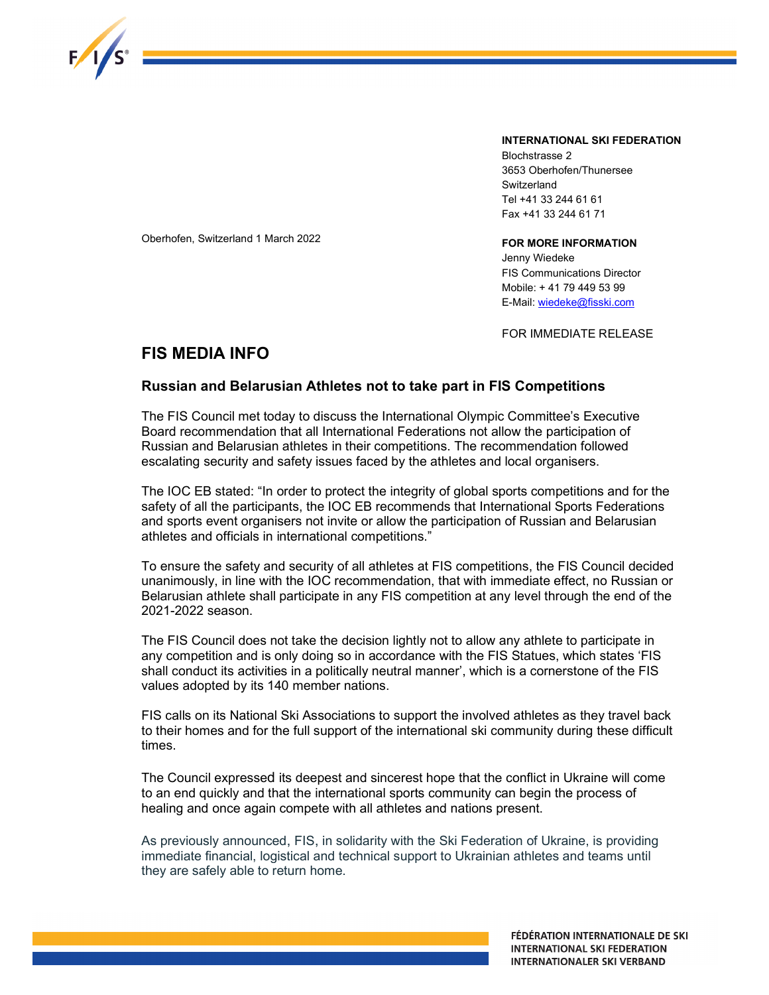

INTERNATIONAL SKI FEDERATION

Blochstrasse 2 3653 Oberhofen/Thunersee **Switzerland** Tel +41 33 244 61 61 Fax +41 33 244 61 71

Oberhofen, Switzerland 1 March 2022

## FOR MORE INFORMATION

Jenny Wiedeke FIS Communications Director Mobile: + 41 79 449 53 99 E-Mail: wiedeke@fisski.com

FOR IMMEDIATE RELEASE

## FIS MEDIA INFO

## Russian and Belarusian Athletes not to take part in FIS Competitions

The FIS Council met today to discuss the International Olympic Committee's Executive Board recommendation that all International Federations not allow the participation of Russian and Belarusian athletes in their competitions. The recommendation followed escalating security and safety issues faced by the athletes and local organisers.

The IOC EB stated: "In order to protect the integrity of global sports competitions and for the safety of all the participants, the IOC EB recommends that International Sports Federations and sports event organisers not invite or allow the participation of Russian and Belarusian athletes and officials in international competitions."

To ensure the safety and security of all athletes at FIS competitions, the FIS Council decided unanimously, in line with the IOC recommendation, that with immediate effect, no Russian or Belarusian athlete shall participate in any FIS competition at any level through the end of the 2021-2022 season.

The FIS Council does not take the decision lightly not to allow any athlete to participate in any competition and is only doing so in accordance with the FIS Statues, which states 'FIS shall conduct its activities in a politically neutral manner', which is a cornerstone of the FIS values adopted by its 140 member nations.

FIS calls on its National Ski Associations to support the involved athletes as they travel back to their homes and for the full support of the international ski community during these difficult times.

The Council expressed its deepest and sincerest hope that the conflict in Ukraine will come to an end quickly and that the international sports community can begin the process of healing and once again compete with all athletes and nations present.

As previously announced, FIS, in solidarity with the Ski Federation of Ukraine, is providing immediate financial, logistical and technical support to Ukrainian athletes and teams until they are safely able to return home.